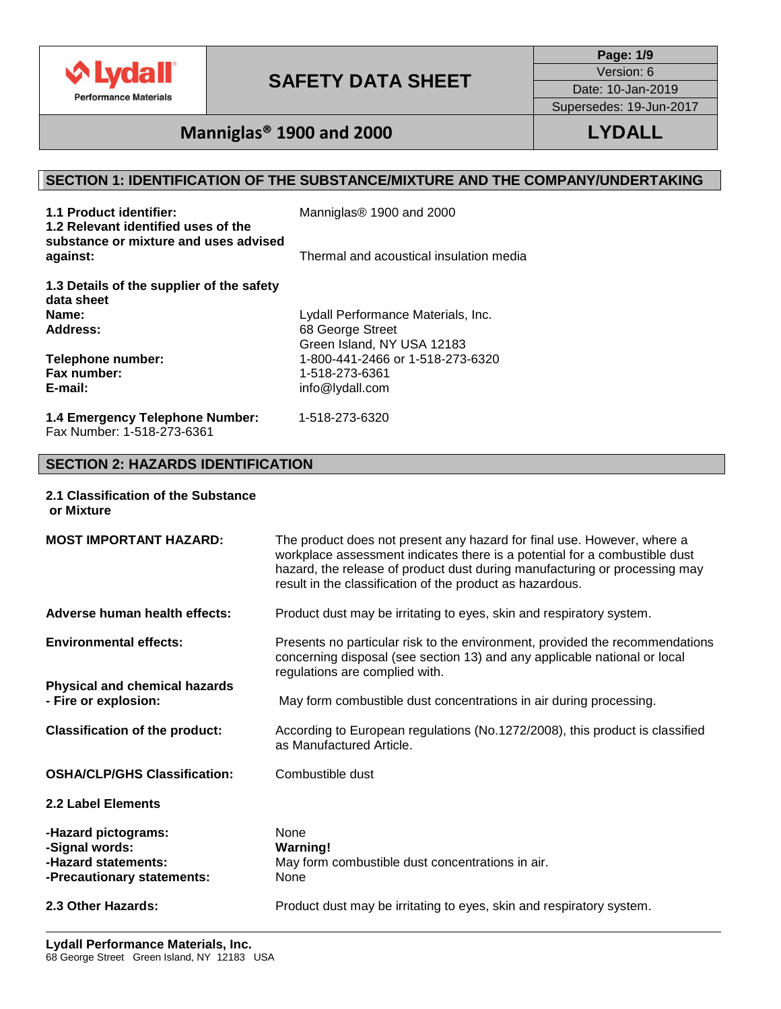

**Page: 1/9**

Version: 6 Date: 10-Jan-2019

Supersedes: 19-Jun-2017

# **Manniglas® 1900 and 2000 LYDALL**

## **SECTION 1: IDENTIFICATION OF THE SUBSTANCE/MIXTURE AND THE COMPANY/UNDERTAKING**

| 1.1 Product identifier:<br>1.2 Relevant identified uses of the<br>substance or mixture and uses advised | Manniglas <sup>®</sup> 1900 and 2000    |
|---------------------------------------------------------------------------------------------------------|-----------------------------------------|
| against:                                                                                                | Thermal and acoustical insulation media |
| 1.3 Details of the supplier of the safety<br>data sheet                                                 |                                         |
| Name:                                                                                                   | Lydall Performance Materials, Inc.      |
| Address:                                                                                                | 68 George Street                        |
|                                                                                                         | Green Island, NY USA 12183              |
| Telephone number:                                                                                       | 1-800-441-2466 or 1-518-273-6320        |
| Fax number:                                                                                             | 1-518-273-6361                          |
| E-mail:                                                                                                 | info@lydall.com                         |
| 1.4 Emergency Telephone Number:<br>Fax Number: 1-518-273-6361                                           | 1-518-273-6320                          |

## **SECTION 2: HAZARDS IDENTIFICATION**

### **2.1 Classification of the Substance or Mixture**

| <b>MOST IMPORTANT HAZARD:</b>                                                              | The product does not present any hazard for final use. However, where a<br>workplace assessment indicates there is a potential for a combustible dust<br>hazard, the release of product dust during manufacturing or processing may<br>result in the classification of the product as hazardous. |
|--------------------------------------------------------------------------------------------|--------------------------------------------------------------------------------------------------------------------------------------------------------------------------------------------------------------------------------------------------------------------------------------------------|
| Adverse human health effects:                                                              | Product dust may be irritating to eyes, skin and respiratory system.                                                                                                                                                                                                                             |
| <b>Environmental effects:</b>                                                              | Presents no particular risk to the environment, provided the recommendations<br>concerning disposal (see section 13) and any applicable national or local<br>regulations are complied with.                                                                                                      |
| <b>Physical and chemical hazards</b><br>- Fire or explosion:                               | May form combustible dust concentrations in air during processing.                                                                                                                                                                                                                               |
| <b>Classification of the product:</b>                                                      | According to European regulations (No.1272/2008), this product is classified<br>as Manufactured Article.                                                                                                                                                                                         |
| <b>OSHA/CLP/GHS Classification:</b>                                                        | Combustible dust                                                                                                                                                                                                                                                                                 |
| 2.2 Label Elements                                                                         |                                                                                                                                                                                                                                                                                                  |
| -Hazard pictograms:<br>-Signal words:<br>-Hazard statements:<br>-Precautionary statements: | <b>None</b><br><b>Warning!</b><br>May form combustible dust concentrations in air.<br>None                                                                                                                                                                                                       |
| 2.3 Other Hazards:                                                                         | Product dust may be irritating to eyes, skin and respiratory system.                                                                                                                                                                                                                             |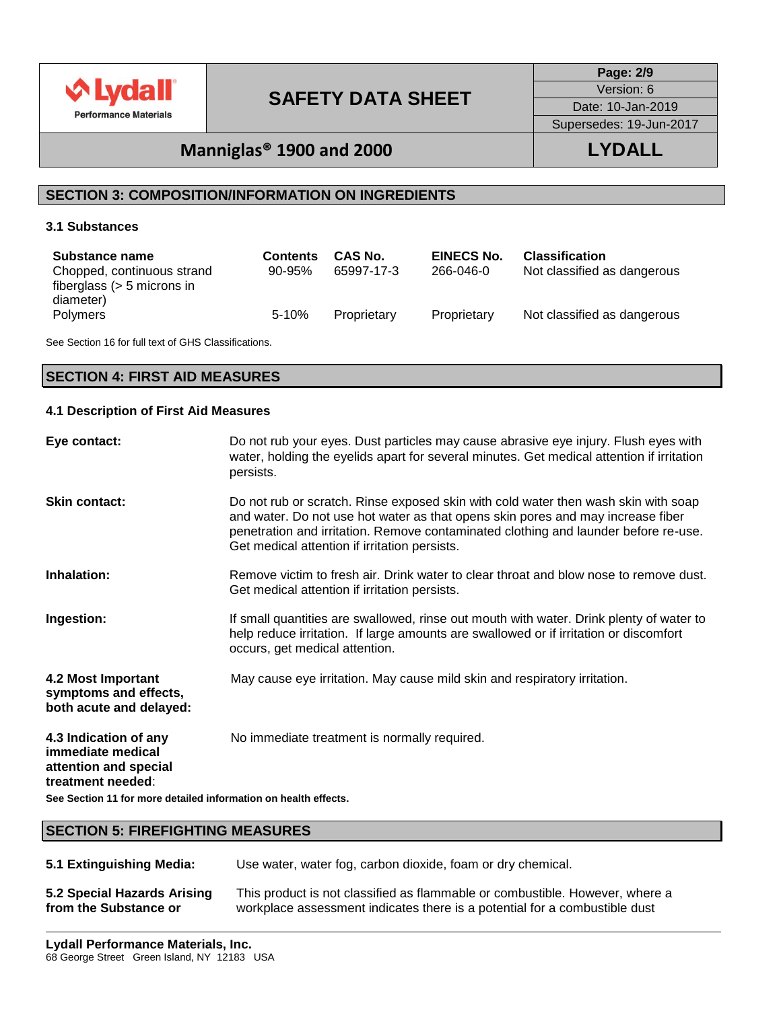

**Page: 2/9**

Version: 6

Date: 10-Jan-2019

Supersedes: 19-Jun-2017

# **Manniglas® 1900 and 2000 LYDALL**

## **SECTION 3: COMPOSITION/INFORMATION ON INGREDIENTS**

### **3.1 Substances**

| <b>Substance name</b><br>Chopped, continuous strand<br>fiberglass $(> 5$ microns in | <b>Contents</b><br>$90 - 95\%$ | CAS No.<br>65997-17-3 | <b>EINECS No.</b><br>266-046-0 | <b>Classification</b><br>Not classified as dangerous |
|-------------------------------------------------------------------------------------|--------------------------------|-----------------------|--------------------------------|------------------------------------------------------|
| diameter)<br><b>Polymers</b>                                                        | $5 - 10%$                      | Proprietary           | Proprietary                    | Not classified as dangerous                          |

See Section 16 for full text of GHS Classifications.

## **SECTION 4: FIRST AID MEASURES**

### **4.1 Description of First Aid Measures**

| Eye contact:                                                                             | Do not rub your eyes. Dust particles may cause abrasive eye injury. Flush eyes with<br>water, holding the eyelids apart for several minutes. Get medical attention if irritation<br>persists.                                                                                                                 |  |  |
|------------------------------------------------------------------------------------------|---------------------------------------------------------------------------------------------------------------------------------------------------------------------------------------------------------------------------------------------------------------------------------------------------------------|--|--|
| <b>Skin contact:</b>                                                                     | Do not rub or scratch. Rinse exposed skin with cold water then wash skin with soap<br>and water. Do not use hot water as that opens skin pores and may increase fiber<br>penetration and irritation. Remove contaminated clothing and launder before re-use.<br>Get medical attention if irritation persists. |  |  |
| Inhalation:                                                                              | Remove victim to fresh air. Drink water to clear throat and blow nose to remove dust.<br>Get medical attention if irritation persists.                                                                                                                                                                        |  |  |
| Ingestion:                                                                               | If small quantities are swallowed, rinse out mouth with water. Drink plenty of water to<br>help reduce irritation. If large amounts are swallowed or if irritation or discomfort<br>occurs, get medical attention.                                                                                            |  |  |
| 4.2 Most Important<br>symptoms and effects,<br>both acute and delayed:                   | May cause eye irritation. May cause mild skin and respiratory irritation.                                                                                                                                                                                                                                     |  |  |
| 4.3 Indication of any<br>immediate medical<br>attention and special<br>treatment needed: | No immediate treatment is normally required.                                                                                                                                                                                                                                                                  |  |  |
| See Section 11 for more detailed information on health effects.                          |                                                                                                                                                                                                                                                                                                               |  |  |

### **SECTION 5: FIREFIGHTING MEASURES**

- **5.1 Extinguishing Media:** Use water, water fog, carbon dioxide, foam or dry chemical.
- **5.2 Special Hazards Arising from the Substance or**  This product is not classified as flammable or combustible. However, where a workplace assessment indicates there is a potential for a combustible dust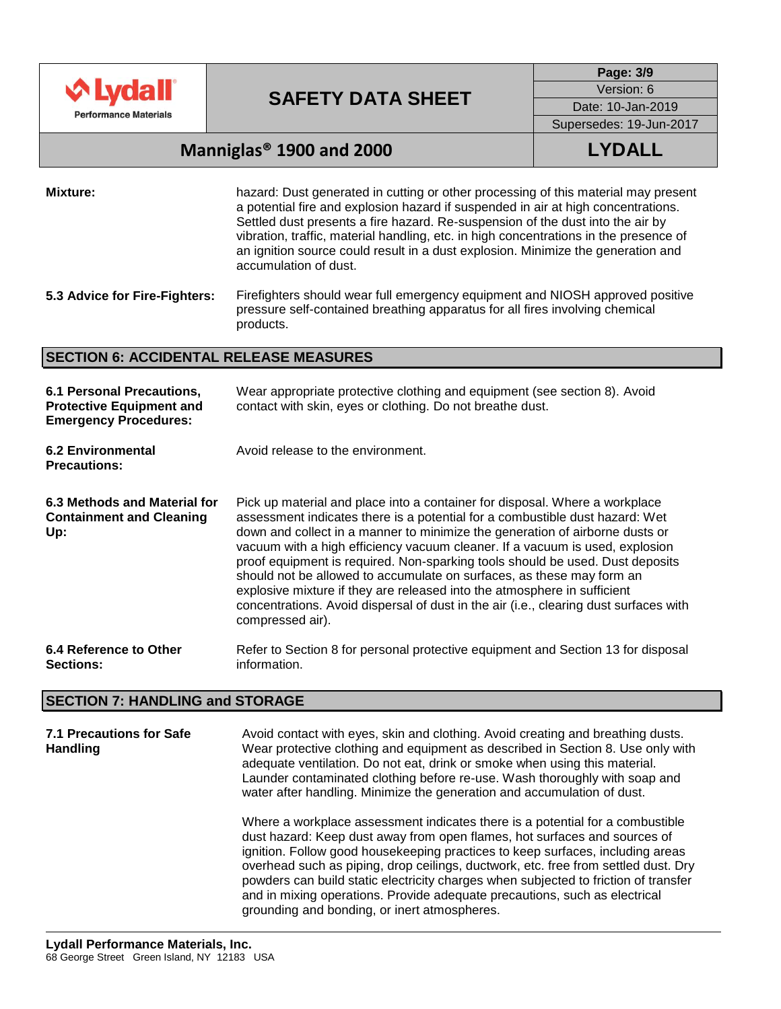

**Page: 3/9**

Version: 6

Date: 10-Jan-2019

## Supersedes: 19-Jun-2017

# **Manniglas® 1900 and 2000 LYDALL**

**Mixture:** hazard: Dust generated in cutting or other processing of this material may present a potential fire and explosion hazard if suspended in air at high concentrations. Settled dust presents a fire hazard. Re-suspension of the dust into the air by vibration, traffic, material handling, etc. in high concentrations in the presence of an ignition source could result in a dust explosion. Minimize the generation and accumulation of dust.

## **SECTION 6: ACCIDENTAL RELEASE MEASURES**

| 6.1 Personal Precautions,<br><b>Protective Equipment and</b><br><b>Emergency Procedures:</b> | Wear appropriate protective clothing and equipment (see section 8). Avoid<br>contact with skin, eyes or clothing. Do not breathe dust.                                                                                                                                                                                                                                                                                                                                                                                                                                                                                                                                         |
|----------------------------------------------------------------------------------------------|--------------------------------------------------------------------------------------------------------------------------------------------------------------------------------------------------------------------------------------------------------------------------------------------------------------------------------------------------------------------------------------------------------------------------------------------------------------------------------------------------------------------------------------------------------------------------------------------------------------------------------------------------------------------------------|
| <b>6.2 Environmental</b><br><b>Precautions:</b>                                              | Avoid release to the environment.                                                                                                                                                                                                                                                                                                                                                                                                                                                                                                                                                                                                                                              |
| 6.3 Methods and Material for<br><b>Containment and Cleaning</b><br>Up:                       | Pick up material and place into a container for disposal. Where a workplace<br>assessment indicates there is a potential for a combustible dust hazard: Wet<br>down and collect in a manner to minimize the generation of airborne dusts or<br>vacuum with a high efficiency vacuum cleaner. If a vacuum is used, explosion<br>proof equipment is required. Non-sparking tools should be used. Dust deposits<br>should not be allowed to accumulate on surfaces, as these may form an<br>explosive mixture if they are released into the atmosphere in sufficient<br>concentrations. Avoid dispersal of dust in the air (i.e., clearing dust surfaces with<br>compressed air). |
| 6.4 Reference to Other<br><b>Sections:</b>                                                   | Refer to Section 8 for personal protective equipment and Section 13 for disposal<br>information.                                                                                                                                                                                                                                                                                                                                                                                                                                                                                                                                                                               |

## **SECTION 7: HANDLING and STORAGE**

**7.1 Precautions for Safe Handling** Avoid contact with eyes, skin and clothing. Avoid creating and breathing dusts. Wear protective clothing and equipment as described in Section 8. Use only with adequate ventilation. Do not eat, drink or smoke when using this material. Launder contaminated clothing before re-use. Wash thoroughly with soap and water after handling. Minimize the generation and accumulation of dust. Where a workplace assessment indicates there is a potential for a combustible dust hazard: Keep dust away from open flames, hot surfaces and sources of ignition. Follow good housekeeping practices to keep surfaces, including areas overhead such as piping, drop ceilings, ductwork, etc. free from settled dust. Dry powders can build static electricity charges when subjected to friction of transfer and in mixing operations. Provide adequate precautions, such as electrical grounding and bonding, or inert atmospheres.

**<sup>5.3</sup> Advice for Fire-Fighters:** Firefighters should wear full emergency equipment and NIOSH approved positive pressure self-contained breathing apparatus for all fires involving chemical products.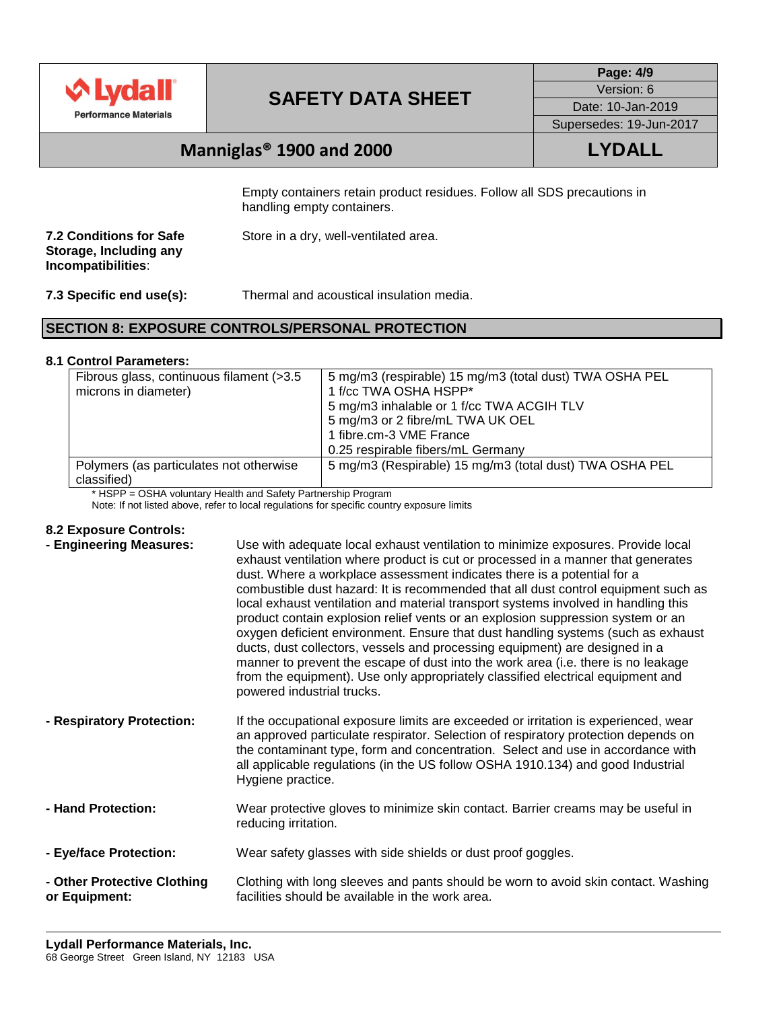

**Page: 4/9** Version: 6 Date: 10-Jan-2019

Supersedes: 19-Jun-2017

# **Manniglas® 1900 and 2000 LYDALL**

Empty containers retain product residues. Follow all SDS precautions in handling empty containers.

| Store in a dry, well-ventilated area. |
|---------------------------------------|
|                                       |
|                                       |

**7.3 Specific end use(s):** Thermal and acoustical insulation media.

## **SECTION 8: EXPOSURE CONTROLS/PERSONAL PROTECTION**

### **8.1 Control Parameters:**

| Fibrous glass, continuous filament (>3.5<br>microns in diameter) | 5 mg/m3 (respirable) 15 mg/m3 (total dust) TWA OSHA PEL<br>1 f/cc TWA OSHA HSPP* |  |  |
|------------------------------------------------------------------|----------------------------------------------------------------------------------|--|--|
|                                                                  | 5 mg/m3 inhalable or 1 f/cc TWA ACGIH TLV                                        |  |  |
|                                                                  | 5 mg/m3 or 2 fibre/mL TWA UK OEL                                                 |  |  |
|                                                                  | 1 fibre.cm-3 VME France                                                          |  |  |
|                                                                  | 0.25 respirable fibers/mL Germany                                                |  |  |
| Polymers (as particulates not otherwise<br>classified)           | 5 mg/m3 (Respirable) 15 mg/m3 (total dust) TWA OSHA PEL                          |  |  |

\* HSPP = OSHA voluntary Health and Safety Partnership Program

Note: If not listed above, refer to local regulations for specific country exposure limits

### **8.2 Exposure Controls:**

| - Engineering Measures:                      | Use with adequate local exhaust ventilation to minimize exposures. Provide local<br>exhaust ventilation where product is cut or processed in a manner that generates<br>dust. Where a workplace assessment indicates there is a potential for a<br>combustible dust hazard: It is recommended that all dust control equipment such as<br>local exhaust ventilation and material transport systems involved in handling this<br>product contain explosion relief vents or an explosion suppression system or an<br>oxygen deficient environment. Ensure that dust handling systems (such as exhaust<br>ducts, dust collectors, vessels and processing equipment) are designed in a<br>manner to prevent the escape of dust into the work area (i.e. there is no leakage<br>from the equipment). Use only appropriately classified electrical equipment and<br>powered industrial trucks. |
|----------------------------------------------|-----------------------------------------------------------------------------------------------------------------------------------------------------------------------------------------------------------------------------------------------------------------------------------------------------------------------------------------------------------------------------------------------------------------------------------------------------------------------------------------------------------------------------------------------------------------------------------------------------------------------------------------------------------------------------------------------------------------------------------------------------------------------------------------------------------------------------------------------------------------------------------------|
| - Respiratory Protection:                    | If the occupational exposure limits are exceeded or irritation is experienced, wear<br>an approved particulate respirator. Selection of respiratory protection depends on<br>the contaminant type, form and concentration. Select and use in accordance with<br>all applicable regulations (in the US follow OSHA 1910.134) and good Industrial<br>Hygiene practice.                                                                                                                                                                                                                                                                                                                                                                                                                                                                                                                    |
| - Hand Protection:                           | Wear protective gloves to minimize skin contact. Barrier creams may be useful in<br>reducing irritation.                                                                                                                                                                                                                                                                                                                                                                                                                                                                                                                                                                                                                                                                                                                                                                                |
| - Eye/face Protection:                       | Wear safety glasses with side shields or dust proof goggles.                                                                                                                                                                                                                                                                                                                                                                                                                                                                                                                                                                                                                                                                                                                                                                                                                            |
| - Other Protective Clothing<br>or Equipment: | Clothing with long sleeves and pants should be worn to avoid skin contact. Washing<br>facilities should be available in the work area.                                                                                                                                                                                                                                                                                                                                                                                                                                                                                                                                                                                                                                                                                                                                                  |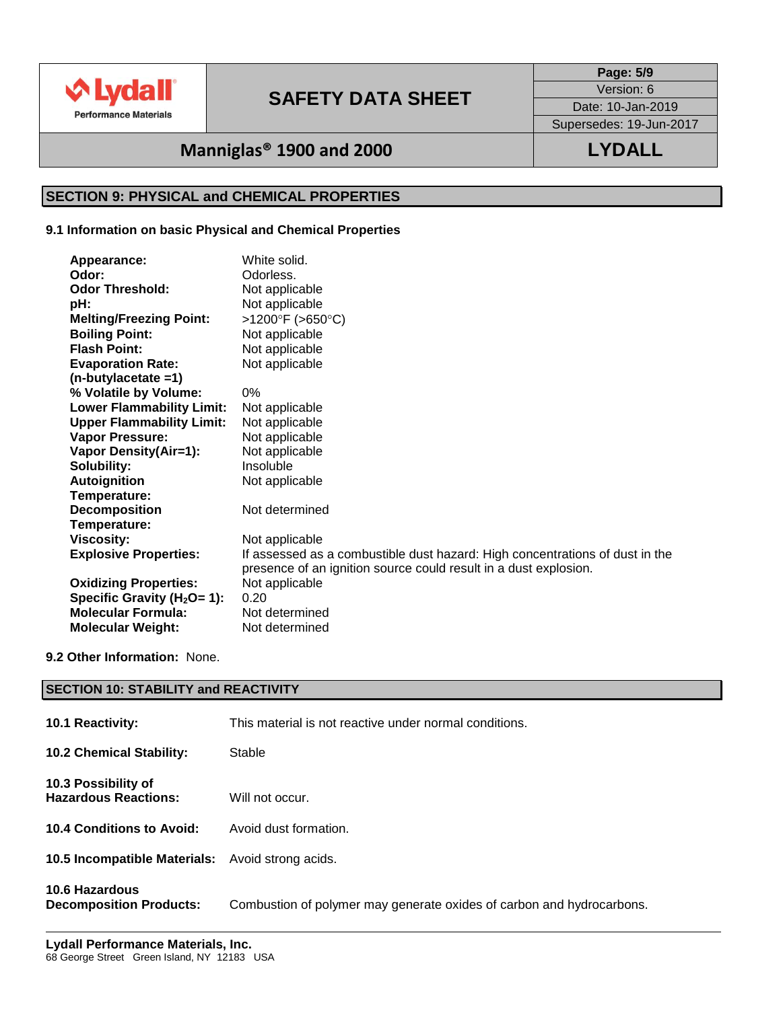

**Page: 5/9**

Version: 6 Date: 10-Jan-2019

Supersedes: 19-Jun-2017

# **Manniglas® 1900 and 2000 LYDALL**

# **SECTION 9: PHYSICAL and CHEMICAL PROPERTIES**

### **9.1 Information on basic Physical and Chemical Properties**

| Appearance:                      | White solid.                                                                 |
|----------------------------------|------------------------------------------------------------------------------|
| Odor:                            | Odorless.                                                                    |
| <b>Odor Threshold:</b>           | Not applicable                                                               |
| pH:                              | Not applicable                                                               |
| <b>Melting/Freezing Point:</b>   | >1200°F (>650°C)                                                             |
| <b>Boiling Point:</b>            | Not applicable                                                               |
| <b>Flash Point:</b>              | Not applicable                                                               |
| <b>Evaporation Rate:</b>         | Not applicable                                                               |
| $(n$ -butylacetate =1)           |                                                                              |
| % Volatile by Volume:            | 0%                                                                           |
| <b>Lower Flammability Limit:</b> | Not applicable                                                               |
| <b>Upper Flammability Limit:</b> | Not applicable                                                               |
| Vapor Pressure:                  | Not applicable                                                               |
| <b>Vapor Density(Air=1):</b>     | Not applicable                                                               |
| Solubility:                      | Insoluble                                                                    |
| <b>Autoignition</b>              | Not applicable                                                               |
| Temperature:                     |                                                                              |
| <b>Decomposition</b>             | Not determined                                                               |
| Temperature:                     |                                                                              |
| <b>Viscosity:</b>                | Not applicable                                                               |
| <b>Explosive Properties:</b>     | If assessed as a combustible dust hazard: High concentrations of dust in the |
|                                  | presence of an ignition source could result in a dust explosion.             |
| <b>Oxidizing Properties:</b>     | Not applicable                                                               |
| Specific Gravity ( $H_2O = 1$ ): | 0.20                                                                         |
| <b>Molecular Formula:</b>        | Not determined                                                               |
| <b>Molecular Weight:</b>         | Not determined                                                               |

### **9.2 Other Information:** None.

| <b>SECTION 10: STABILITY and REACTIVITY</b>             |                                                                       |  |  |  |
|---------------------------------------------------------|-----------------------------------------------------------------------|--|--|--|
| 10.1 Reactivity:                                        | This material is not reactive under normal conditions.                |  |  |  |
| <b>10.2 Chemical Stability:</b>                         | Stable                                                                |  |  |  |
| 10.3 Possibility of<br><b>Hazardous Reactions:</b>      | Will not occur.                                                       |  |  |  |
| 10.4 Conditions to Avoid:                               | Avoid dust formation.                                                 |  |  |  |
| <b>10.5 Incompatible Materials:</b> Avoid strong acids. |                                                                       |  |  |  |
| 10.6 Hazardous<br><b>Decomposition Products:</b>        | Combustion of polymer may generate oxides of carbon and hydrocarbons. |  |  |  |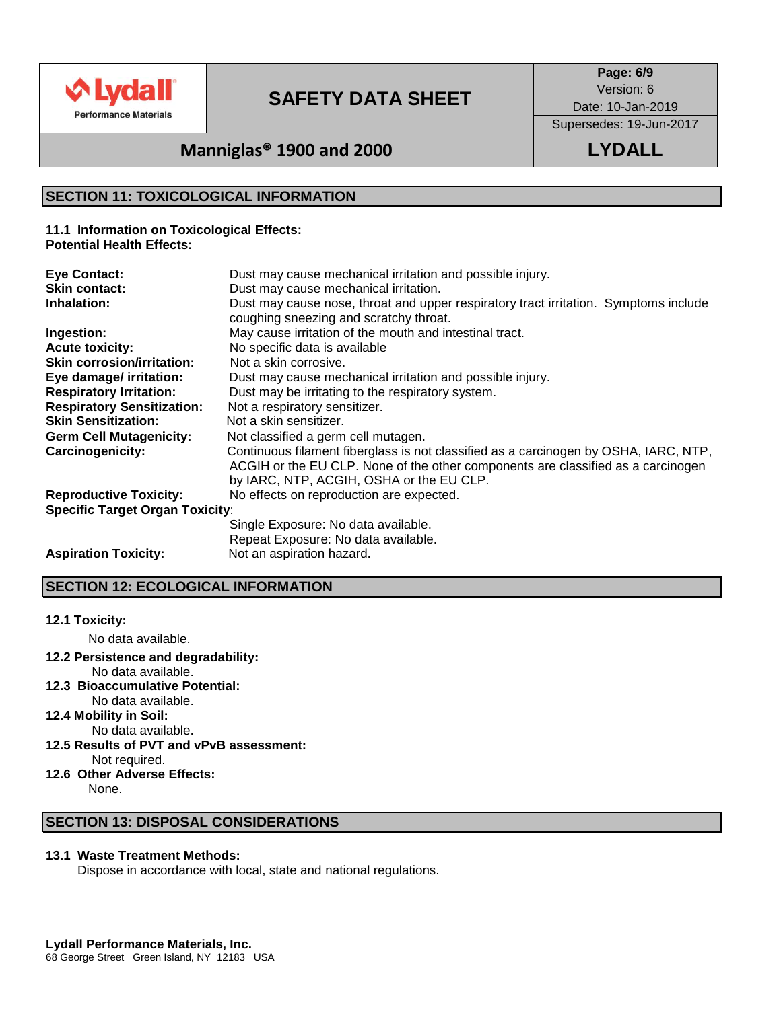

**Page: 6/9**

Version: 6

Date: 10-Jan-2019

Supersedes: 19-Jun-2017

# **Manniglas® 1900 and 2000 LYDALL**

## **SECTION 11: TOXICOLOGICAL INFORMATION**

**11.1 Information on Toxicological Effects: Potential Health Effects:**

| <b>Eye Contact:</b>                    | Dust may cause mechanical irritation and possible injury.                                                                                                                                                            |
|----------------------------------------|----------------------------------------------------------------------------------------------------------------------------------------------------------------------------------------------------------------------|
| <b>Skin contact:</b>                   | Dust may cause mechanical irritation.                                                                                                                                                                                |
| Inhalation:                            | Dust may cause nose, throat and upper respiratory tract irritation. Symptoms include<br>coughing sneezing and scratchy throat.                                                                                       |
| Ingestion:                             | May cause irritation of the mouth and intestinal tract.                                                                                                                                                              |
| <b>Acute toxicity:</b>                 | No specific data is available                                                                                                                                                                                        |
| <b>Skin corrosion/irritation:</b>      | Not a skin corrosive.                                                                                                                                                                                                |
| Eye damage/ irritation:                | Dust may cause mechanical irritation and possible injury.                                                                                                                                                            |
| <b>Respiratory Irritation:</b>         | Dust may be irritating to the respiratory system.                                                                                                                                                                    |
| <b>Respiratory Sensitization:</b>      | Not a respiratory sensitizer.                                                                                                                                                                                        |
| <b>Skin Sensitization:</b>             | Not a skin sensitizer.                                                                                                                                                                                               |
| <b>Germ Cell Mutagenicity:</b>         | Not classified a germ cell mutagen.                                                                                                                                                                                  |
| <b>Carcinogenicity:</b>                | Continuous filament fiberglass is not classified as a carcinogen by OSHA, IARC, NTP,<br>ACGIH or the EU CLP. None of the other components are classified as a carcinogen<br>by IARC, NTP, ACGIH, OSHA or the EU CLP. |
| <b>Reproductive Toxicity:</b>          | No effects on reproduction are expected.                                                                                                                                                                             |
| <b>Specific Target Organ Toxicity:</b> |                                                                                                                                                                                                                      |
|                                        | Single Exposure: No data available.                                                                                                                                                                                  |
|                                        | Repeat Exposure: No data available.                                                                                                                                                                                  |
| <b>Aspiration Toxicity:</b>            | Not an aspiration hazard.                                                                                                                                                                                            |

## **SECTION 12: ECOLOGICAL INFORMATION**

## **12.1 Toxicity:**

No data available.

**12.2 Persistence and degradability:**

No data available.

- **12.3 Bioaccumulative Potential:** No data available.
- **12.4 Mobility in Soil:**
- No data available.
- **12.5 Results of PVT and vPvB assessment:** Not required.
- **12.6 Other Adverse Effects:** None.

## **SECTION 13: DISPOSAL CONSIDERATIONS**

### **13.1 Waste Treatment Methods:**

Dispose in accordance with local, state and national regulations.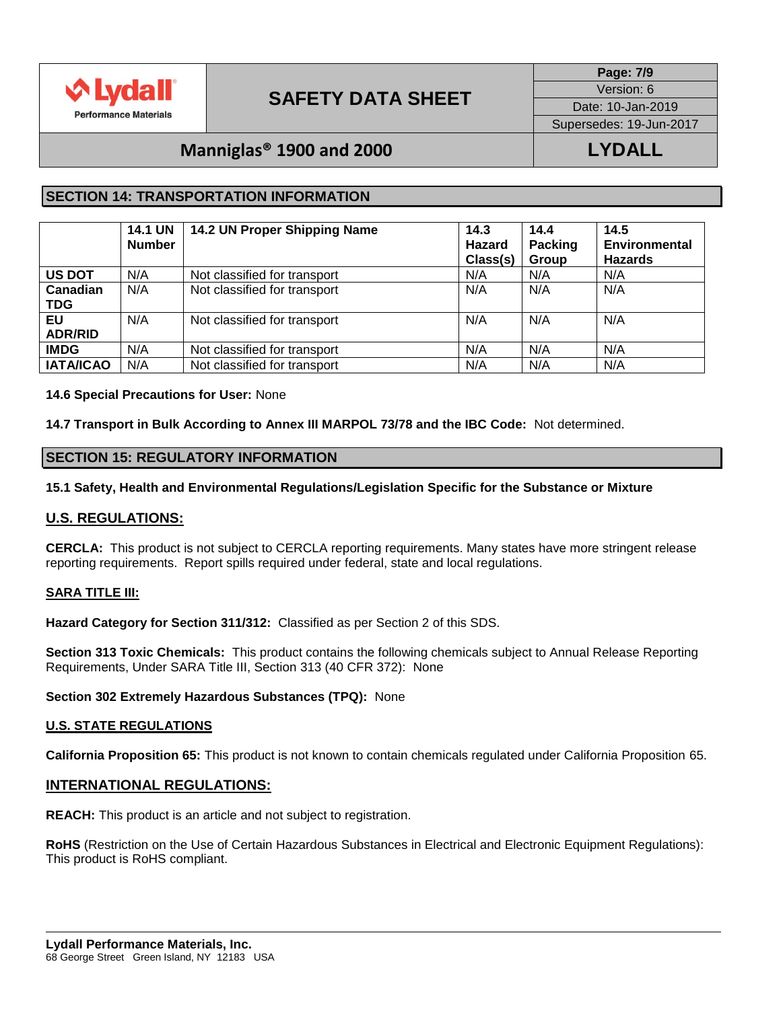

**Page: 7/9**

Version: 6

Date: 10-Jan-2019

Supersedes: 19-Jun-2017

# **Manniglas® 1900 and 2000 LYDALL**

## **SECTION 14: TRANSPORTATION INFORMATION**

|                        | <b>14.1 UN</b><br><b>Number</b> | 14.2 UN Proper Shipping Name | 14.3<br>Hazard<br>Class(s) | 14.4<br><b>Packing</b><br>Group | 14.5<br><b>Environmental</b><br><b>Hazards</b> |
|------------------------|---------------------------------|------------------------------|----------------------------|---------------------------------|------------------------------------------------|
| <b>US DOT</b>          | N/A                             | Not classified for transport | N/A                        | N/A                             | N/A                                            |
| Canadian<br><b>TDG</b> | N/A                             | Not classified for transport | N/A                        | N/A                             | N/A                                            |
| EU<br><b>ADR/RID</b>   | N/A                             | Not classified for transport | N/A                        | N/A                             | N/A                                            |
| <b>IMDG</b>            | N/A                             | Not classified for transport | N/A                        | N/A                             | N/A                                            |
| <b>IATA/ICAO</b>       | N/A                             | Not classified for transport | N/A                        | N/A                             | N/A                                            |

## **14.6 Special Precautions for User:** None

**14.7 Transport in Bulk According to Annex III MARPOL 73/78 and the IBC Code:** Not determined.

## **SECTION 15: REGULATORY INFORMATION**

## **15.1 Safety, Health and Environmental Regulations/Legislation Specific for the Substance or Mixture**

## **U.S. REGULATIONS:**

**CERCLA:** This product is not subject to CERCLA reporting requirements. Many states have more stringent release reporting requirements. Report spills required under federal, state and local regulations.

## **SARA TITLE III:**

**Hazard Category for Section 311/312:** Classified as per Section 2 of this SDS.

**Section 313 Toxic Chemicals:** This product contains the following chemicals subject to Annual Release Reporting Requirements, Under SARA Title III, Section 313 (40 CFR 372): None

### **Section 302 Extremely Hazardous Substances (TPQ):** None

### **U.S. STATE REGULATIONS**

**California Proposition 65:** This product is not known to contain chemicals regulated under California Proposition 65.

## **INTERNATIONAL REGULATIONS:**

**REACH:** This product is an article and not subject to registration.

**RoHS** (Restriction on the Use of Certain Hazardous Substances in Electrical and Electronic Equipment Regulations): This product is RoHS compliant.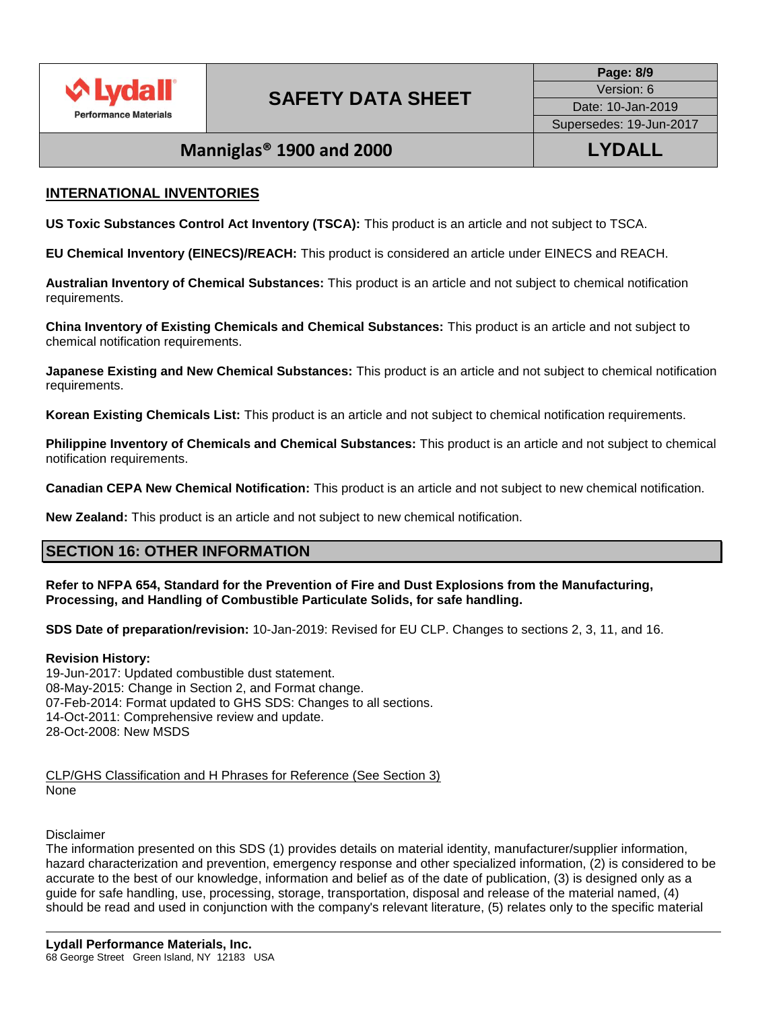

# **Manniglas® 1900 and 2000 LYDALL**

## **INTERNATIONAL INVENTORIES**

**US Toxic Substances Control Act Inventory (TSCA):** This product is an article and not subject to TSCA.

**EU Chemical Inventory (EINECS)/REACH:** This product is considered an article under EINECS and REACH.

**Australian Inventory of Chemical Substances:** This product is an article and not subject to chemical notification requirements.

**China Inventory of Existing Chemicals and Chemical Substances:** This product is an article and not subject to chemical notification requirements.

**Japanese Existing and New Chemical Substances:** This product is an article and not subject to chemical notification requirements.

**Korean Existing Chemicals List:** This product is an article and not subject to chemical notification requirements.

**Philippine Inventory of Chemicals and Chemical Substances:** This product is an article and not subject to chemical notification requirements.

**Canadian CEPA New Chemical Notification:** This product is an article and not subject to new chemical notification.

**New Zealand:** This product is an article and not subject to new chemical notification.

## **SECTION 16: OTHER INFORMATION**

**Refer to NFPA 654, Standard for the Prevention of Fire and Dust Explosions from the Manufacturing, Processing, and Handling of Combustible Particulate Solids, for safe handling.**

**SDS Date of preparation/revision:** 10-Jan-2019: Revised for EU CLP. Changes to sections 2, 3, 11, and 16.

### **Revision History:**

19-Jun-2017: Updated combustible dust statement. 08-May-2015: Change in Section 2, and Format change. 07-Feb-2014: Format updated to GHS SDS: Changes to all sections. 14-Oct-2011: Comprehensive review and update. 28-Oct-2008: New MSDS

CLP/GHS Classification and H Phrases for Reference (See Section 3) None

### Disclaimer

The information presented on this SDS (1) provides details on material identity, manufacturer/supplier information, hazard characterization and prevention, emergency response and other specialized information, (2) is considered to be accurate to the best of our knowledge, information and belief as of the date of publication, (3) is designed only as a guide for safe handling, use, processing, storage, transportation, disposal and release of the material named, (4) should be read and used in conjunction with the company's relevant literature, (5) relates only to the specific material